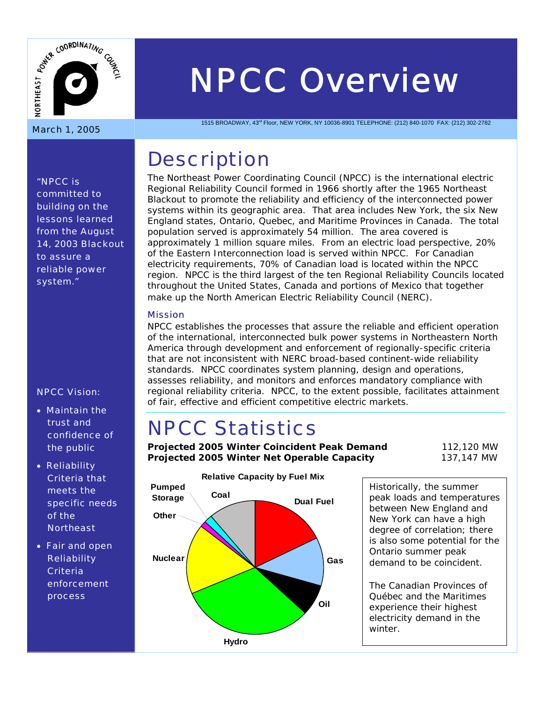

# *NPCC Overview*

1515 BROADWAY, 43rd Floor, NEW YORK, NY 10036-8901 TELEPHONE: (212) 840-1070 FAX: (212) 302-2782

### **Description**

The Northeast Power Coordinating Council (NPCC) is the international electric Regional Reliability Council formed in 1966 shortly after the 1965 Northeast Blackout to promote the reliability and efficiency of the interconnected power systems within its geographic area. That area includes New York, the six New England states, Ontario, Quebec, and Maritime Provinces in Canada. The total population served is approximately 54 million. The area covered is approximately 1 million square miles. From an electric load perspective, 20% of the Eastern Interconnection load is served within NPCC. For Canadian electricity requirements, 70% of Canadian load is located within the NPCC region. NPCC is the third largest of the ten Regional Reliability Councils located throughout the United States, Canada and portions of Mexico that together make up the North American Electric Reliability Council (NERC).

#### Mission

NPCC establishes the processes that assure the reliable and efficient operation of the international, interconnected bulk power systems in Northeastern North America through development and enforcement of regionally-specific criteria that are not inconsistent with NERC broad-based continent-wide reliability standards. NPCC coordinates system planning, design and operations, assesses reliability, and monitors and enforces mandatory compliance with regional reliability criteria. NPCC, to the extent possible, facilitates attainment of fair, effective and efficient competitive electric markets.

## NPCC Statistics

**Projected 2005 Winter Coincident Peak Demand** 112,120 MW **Projected 2005 Winter Net Operable Capacity** 137,147 MW



Historically, the summer peak loads and temperatures between New England and New York can have a high degree of correlation; there is also some potential for the Ontario summer peak demand to be coincident.

The Canadian Provinces of Québec and the Maritimes experience their highest electricity demand in the

*"NPCC is committed to building on the lessons learned from the August 14, 2003 Blackout to assure a reliable power system."* 

#### NPCC Vision:

- Maintain the trust and confidence of the public
- Reliability Criteria that meets the specific needs of the **Northeast**
- Fair and open **Reliability Criteria** enforcement process